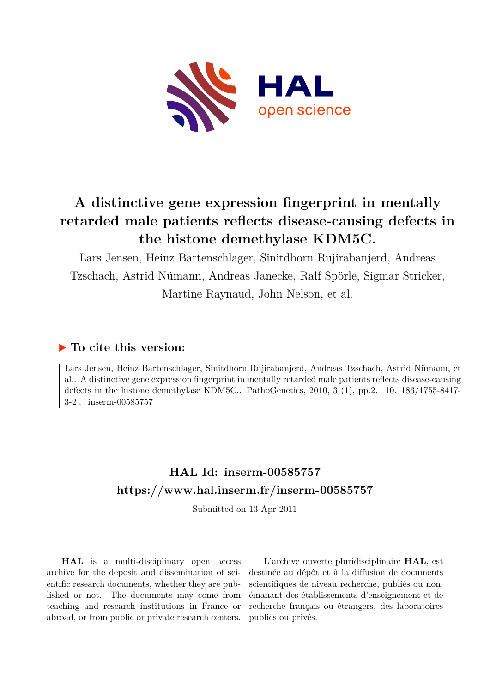

# **A distinctive gene expression fingerprint in mentally retarded male patients reflects disease-causing defects in the histone demethylase KDM5C.**

Lars Jensen, Heinz Bartenschlager, Sinitdhorn Rujirabanjerd, Andreas Tzschach, Astrid Nümann, Andreas Janecke, Ralf Spörle, Sigmar Stricker, Martine Raynaud, John Nelson, et al.

# **To cite this version:**

Lars Jensen, Heinz Bartenschlager, Sinitdhorn Rujirabanjerd, Andreas Tzschach, Astrid Nümann, et al.. A distinctive gene expression fingerprint in mentally retarded male patients reflects disease-causing defects in the histone demethylase KDM5C.. PathoGenetics,  $2010$ ,  $3$  (1), pp.2.  $10.1186/1755-8417-$ 3-2. inserm-00585757

# **HAL Id: inserm-00585757 <https://www.hal.inserm.fr/inserm-00585757>**

Submitted on 13 Apr 2011

**HAL** is a multi-disciplinary open access archive for the deposit and dissemination of scientific research documents, whether they are published or not. The documents may come from teaching and research institutions in France or abroad, or from public or private research centers.

L'archive ouverte pluridisciplinaire **HAL**, est destinée au dépôt et à la diffusion de documents scientifiques de niveau recherche, publiés ou non, émanant des établissements d'enseignement et de recherche français ou étrangers, des laboratoires publics ou privés.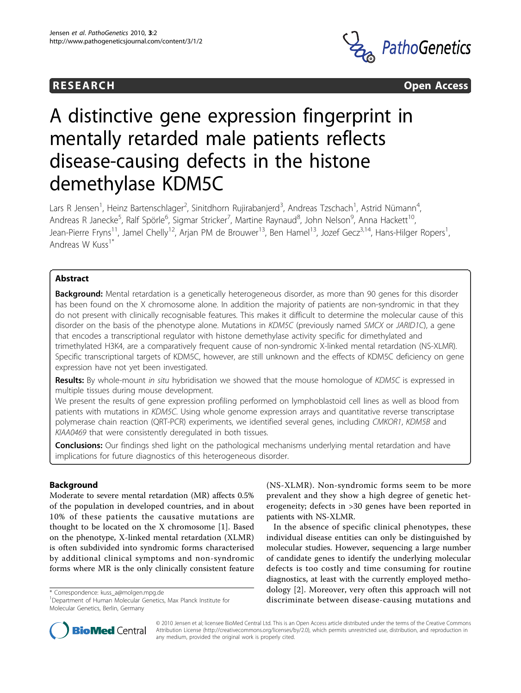



# A distinctive gene expression fingerprint in mentally retarded male patients reflects disease-causing defects in the histone demethylase KDM5C

Lars R Jensen<sup>1</sup>, Heinz Bartenschlager<sup>2</sup>, Sinitdhorn Rujirabanjerd<sup>3</sup>, Andreas Tzschach<sup>1</sup>, Astrid Nümann<sup>4</sup> , Andreas R Janecke<sup>5</sup>, Ralf Spörle<sup>6</sup>, Sigmar Stricker<sup>7</sup>, Martine Raynaud<sup>8</sup>, John Nelson<sup>9</sup>, Anna Hackett<sup>10</sup>, Jean-Pierre Fryns<sup>11</sup>, Jamel Chelly<sup>12</sup>, Arjan PM de Brouwer<sup>13</sup>, Ben Hamel<sup>13</sup>, Jozef Gecz<sup>3,14</sup>, Hans-Hilger Ropers<sup>1</sup>, , Andreas W Kuss<sup>1\*</sup>

# Abstract

Background: Mental retardation is a genetically heterogeneous disorder, as more than 90 genes for this disorder has been found on the X chromosome alone. In addition the majority of patients are non-syndromic in that they do not present with clinically recognisable features. This makes it difficult to determine the molecular cause of this disorder on the basis of the phenotype alone. Mutations in KDM5C (previously named SMCX or JARID1C), a gene that encodes a transcriptional regulator with histone demethylase activity specific for dimethylated and trimethylated H3K4, are a comparatively frequent cause of non-syndromic X-linked mental retardation (NS-XLMR). Specific transcriptional targets of KDM5C, however, are still unknown and the effects of KDM5C deficiency on gene expression have not yet been investigated.

Results: By whole-mount in situ hybridisation we showed that the mouse homologue of KDM5C is expressed in multiple tissues during mouse development.

We present the results of gene expression profiling performed on lymphoblastoid cell lines as well as blood from patients with mutations in KDM5C. Using whole genome expression arrays and quantitative reverse transcriptase polymerase chain reaction (QRT-PCR) experiments, we identified several genes, including CMKOR1, KDM5B and KIAA0469 that were consistently deregulated in both tissues.

**Conclusions:** Our findings shed light on the pathological mechanisms underlying mental retardation and have implications for future diagnostics of this heterogeneous disorder.

# Background

Moderate to severe mental retardation (MR) affects 0.5% of the population in developed countries, and in about 10% of these patients the causative mutations are thought to be located on the X chromosome [1]. Based on the phenotype, X-linked mental retardation (XLMR) is often subdivided into syndromic forms characterised by additional clinical symptoms and non-syndromic forms where MR is the only clinically consistent feature

\* Correspondence: [kuss\\_a@molgen.mpg.de](mailto:kuss_a@molgen.mpg.de)

(NS-XLMR). Non-syndromic forms seem to be more prevalent and they show a high degree of genetic heterogeneity; defects in >30 genes have been reported in patients with NS-XLMR.

In the absence of specific clinical phenotypes, these individual disease entities can only be distinguished by molecular studies. However, sequencing a large number of candidate genes to identify the underlying molecular defects is too costly and time consuming for routine diagnostics, at least with the currently employed methodology [2]. Moreover, very often this approach will not discriminate between disease-causing mutations and



© 2010 Jensen et al; licensee BioMed Central Ltd. This is an Open Access article distributed under the terms of the Creative Commons Attribution License [\(http://creativecommons.org/licenses/by/2.0](http://creativecommons.org/licenses/by/2.0)), which permits unrestricted use, distribution, and reproduction in any medium, provided the original work is properly cited.

<sup>1</sup> Department of Human Molecular Genetics, Max Planck Institute for Molecular Genetics, Berlin, Germany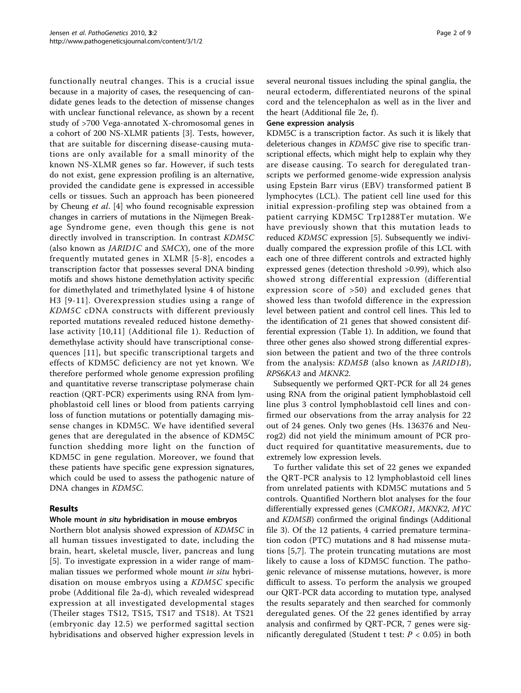functionally neutral changes. This is a crucial issue because in a majority of cases, the resequencing of candidate genes leads to the detection of missense changes with unclear functional relevance, as shown by a recent study of >700 Vega-annotated X-chromosomal genes in a cohort of 200 NS-XLMR patients [3]. Tests, however, that are suitable for discerning disease-causing mutations are only available for a small minority of the known NS-XLMR genes so far. However, if such tests do not exist, gene expression profiling is an alternative, provided the candidate gene is expressed in accessible cells or tissues. Such an approach has been pioneered by Cheung et al. [4] who found recognisable expression changes in carriers of mutations in the Nijmegen Breakage Syndrome gene, even though this gene is not directly involved in transcription. In contrast KDM5C (also known as JARID1C and SMCX), one of the more frequently mutated genes in XLMR [5-8], encodes a transcription factor that possesses several DNA binding motifs and shows histone demethylation activity specific for dimethylated and trimethylated lysine 4 of histone H3 [9-11]. Overexpression studies using a range of KDM5C cDNA constructs with different previously reported mutations revealed reduced histone demethylase activity [10,11] (Additional file 1). Reduction of demethylase activity should have transcriptional consequences [11], but specific transcriptional targets and effects of KDM5C deficiency are not yet known. We therefore performed whole genome expression profiling and quantitative reverse transcriptase polymerase chain reaction (QRT-PCR) experiments using RNA from lymphoblastoid cell lines or blood from patients carrying loss of function mutations or potentially damaging missense changes in KDM5C. We have identified several genes that are deregulated in the absence of KDM5C function shedding more light on the function of KDM5C in gene regulation. Moreover, we found that these patients have specific gene expression signatures, which could be used to assess the pathogenic nature of DNA changes in KDM5C.

## Results

## Whole mount in situ hybridisation in mouse embryos

Northern blot analysis showed expression of KDM5C in all human tissues investigated to date, including the brain, heart, skeletal muscle, liver, pancreas and lung [5]. To investigate expression in a wider range of mammalian tissues we performed whole mount *in situ* hybridisation on mouse embryos using a KDM5C specific probe (Additional file 2a-d), which revealed widespread expression at all investigated developmental stages (Theiler stages TS12, TS15, TS17 and TS18). At TS21 (embryonic day 12.5) we performed sagittal section hybridisations and observed higher expression levels in several neuronal tissues including the spinal ganglia, the neural ectoderm, differentiated neurons of the spinal cord and the telencephalon as well as in the liver and the heart (Additional file 2e, f).

#### Gene expression analysis

KDM5C is a transcription factor. As such it is likely that deleterious changes in KDM5C give rise to specific transcriptional effects, which might help to explain why they are disease causing. To search for deregulated transcripts we performed genome-wide expression analysis using Epstein Barr virus (EBV) transformed patient B lymphocytes (LCL). The patient cell line used for this initial expression-profiling step was obtained from a patient carrying KDM5C Trp1288Ter mutation. We have previously shown that this mutation leads to reduced KDM5C expression [5]. Subsequently we individually compared the expression profile of this LCL with each one of three different controls and extracted highly expressed genes (detection threshold >0.99), which also showed strong differential expression (differential expression score of >50) and excluded genes that showed less than twofold difference in the expression level between patient and control cell lines. This led to the identification of 21 genes that showed consistent differential expression (Table 1). In addition, we found that three other genes also showed strong differential expression between the patient and two of the three controls from the analysis: KDM5B (also known as JARID1B), RPS6KA3 and MKNK2.

Subsequently we performed QRT-PCR for all 24 genes using RNA from the original patient lymphoblastoid cell line plus 3 control lymphoblastoid cell lines and confirmed our observations from the array analysis for 22 out of 24 genes. Only two genes (Hs. 136376 and Neurog2) did not yield the minimum amount of PCR product required for quantitative measurements, due to extremely low expression levels.

To further validate this set of 22 genes we expanded the QRT-PCR analysis to 12 lymphoblastoid cell lines from unrelated patients with KDM5C mutations and 5 controls. Quantified Northern blot analyses for the four differentially expressed genes (CMKOR1, MKNK2, MYC and KDM5B) confirmed the original findings (Additional file 3). Of the 12 patients, 4 carried premature termination codon (PTC) mutations and 8 had missense mutations [5,7]. The protein truncating mutations are most likely to cause a loss of KDM5C function. The pathogenic relevance of missense mutations, however, is more difficult to assess. To perform the analysis we grouped our QRT-PCR data according to mutation type, analysed the results separately and then searched for commonly deregulated genes. Of the 22 genes identified by array analysis and confirmed by QRT-PCR, 7 genes were significantly deregulated (Student t test:  $P < 0.05$ ) in both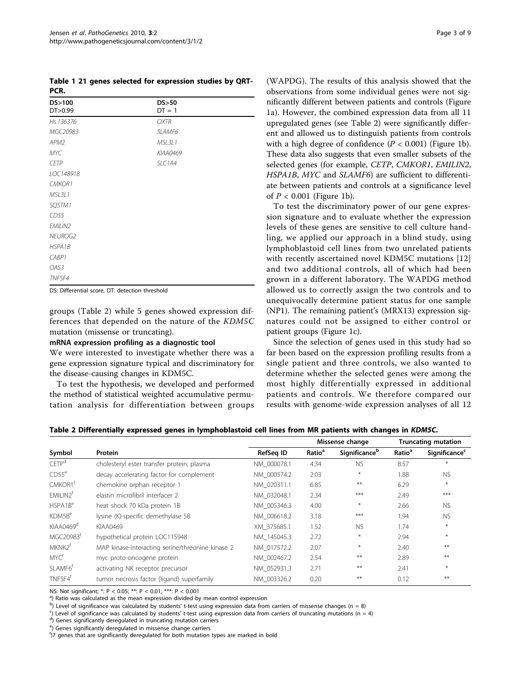Table 1 21 genes selected for expression studies by QRT-PCR.

| DS>100<br>DT>0.99 | DS>50<br>$DT = 1$ |  |
|-------------------|-------------------|--|
| Hs.136376         | <b>OXTR</b>       |  |
| MGC20983          | SLAMF6            |  |
| APM2              | MSL3L1            |  |
| MYC               | KIAA0469          |  |
| <b>CETP</b>       | SLC1A4            |  |
| LOC148918         |                   |  |
| CMKOR1            |                   |  |
| MSL3L1            |                   |  |
| SQSTM1            |                   |  |
| CD55              |                   |  |
| EMILIN2           |                   |  |
| <b>NEUROG2</b>    |                   |  |
| HSPA1B            |                   |  |
| CABP1             |                   |  |
| OAS3              |                   |  |
| TNFSF4            |                   |  |

DS: Differential score, DT: detection threshold

groups (Table 2) while 5 genes showed expression differences that depended on the nature of the KDM5C mutation (missense or truncating).

#### mRNA expression profiling as a diagnostic tool

We were interested to investigate whether there was a gene expression signature typical and discriminatory for the disease-causing changes in KDM5C.

To test the hypothesis, we developed and performed the method of statistical weighted accumulative permutation analysis for differentiation between groups (WAPDG). The results of this analysis showed that the observations from some individual genes were not significantly different between patients and controls (Figure 1a). However, the combined expression data from all 11 upregulated genes (see Table 2) were significantly different and allowed us to distinguish patients from controls with a high degree of confidence  $(P < 0.001)$  (Figure 1b). These data also suggests that even smaller subsets of the selected genes (for example, CETP, CMKOR1, EMILIN2, HSPA1B, MYC and SLAMF6) are sufficient to differentiate between patients and controls at a significance level of  $P < 0.001$  (Figure 1b).

To test the discriminatory power of our gene expression signature and to evaluate whether the expression levels of these genes are sensitive to cell culture handling, we applied our approach in a blind study, using lymphoblastoid cell lines from two unrelated patients with recently ascertained novel KDM5C mutations [12] and two additional controls, all of which had been grown in a different laboratory. The WAPDG method allowed us to correctly assign the two controls and to unequivocally determine patient status for one sample (NP1). The remaining patient's (MRX13) expression signatures could not be assigned to either control or patient groups (Figure 1c).

Since the selection of genes used in this study had so far been based on the expression profiling results from a single patient and three controls, we also wanted to determine whether the selected genes were among the most highly differentially expressed in additional patients and controls. We therefore compared our results with genome-wide expression analyses of all 12

|                                 |                                                  |             | Missense change    |               | <b>Truncating mutation</b> |                                  |
|---------------------------------|--------------------------------------------------|-------------|--------------------|---------------|----------------------------|----------------------------------|
| Symbol                          | Protein                                          | RefSeg ID   | Ratio <sup>a</sup> | Significanceb | Ratio <sup>a</sup>         | <b>Significance</b> <sup>c</sup> |
| C E T P <sup>d</sup>            | cholesteryl ester transfer protein, plasma       | NM 000078.1 | 4.34               | <b>NS</b>     | 8.57                       | $*$                              |
| CDS5 <sup>e</sup>               | decay accelerating factor for complement         | NM 000574.2 | 2.03               | $\ast$        | 1.88                       | <b>NS</b>                        |
| CMKOR1 <sup>t</sup>             | chemokine orphan receptor 1                      | NM 020311.1 | 6.85               | **            | 6.29                       | $*$                              |
| EMILIN2 <sup>†</sup>            | elastin microfibril interfacer 2                 | NM 032048.1 | 2.34               | ***           | 2.49                       | ***                              |
| HSPA1B <sup>e</sup>             | heat shock 70 kDa protein 1B                     | NM 005346.3 | 4.00               | $\ast$        | 2.66                       | <b>NS</b>                        |
| KDM5B <sup>e</sup>              | lysine (K)-specific demethylase 5B               | NM 006618.2 | 3.18               | ***           | 1.94                       | <b>NS</b>                        |
| KIAA0469 <sup>d</sup>           | KIAA0469                                         | XM 375685.1 | 1.52               | <b>NS</b>     | 1.74                       | $\ast$                           |
| MGC20983 <sup>f</sup>           | hypothetical protein LOC115948                   | NM 145045.3 | 2.72               | $*$           | 2.94                       | $\ast$                           |
| MKNK2 <sup>t</sup>              | MAP kinase-interacting serine/threonine kinase 2 | NM 017572.2 | 2.07               | $\ast$        | 2.40                       | **                               |
| MYC <sup>t</sup>                | myc proto-oncogene protein                       | NM 002467.2 | 2.54               | $***$         | 2.89                       | **                               |
| SLAMF <sub>6</sub> <sup>t</sup> | activating NK receptor precursor                 | NM 052931.3 | 2.71               | $***$         | 2.41                       | $\ast$                           |
| TNFSF4 <sup>t</sup>             | tumor necrosis factor (ligand) superfamily       | NM 003326.2 | 0.20               | $***$         | 0.12                       | **                               |

NS: Not significant; \*: P < 0.05; \*\*: P < 0.01; \*\*\*: P < 0.001

a) Ratio was calculated as the mean expression divided by mean control expression

b) Level of significance was calculated by students' t-test using expression data from carriers of missense changes (n = 8) color of times in the student of the student of the student of the student of the student of the

 $\degree$ ) Level of significance was calculated by students' t-test using expression data from carriers of truncating mutations (n = 4)

<sup>d</sup>) Genes significantly deregulated in truncating mutation carriers

<sup>e</sup>) Genes significantly deregulated in missense change carriers

<sup>f</sup>)7 genes that are significantly deregulated for both mutation types are marked in bold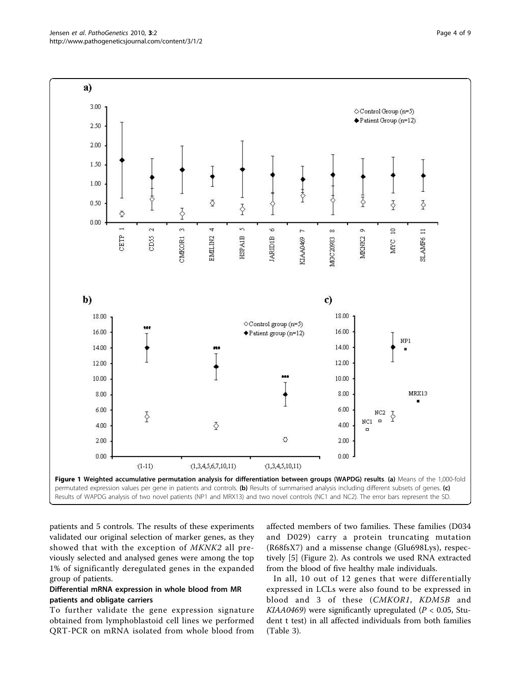patients and 5 controls. The results of these experiments validated our original selection of marker genes, as they showed that with the exception of MKNK2 all previously selected and analysed genes were among the top 1% of significantly deregulated genes in the expanded group of patients.

## Differential mRNA expression in whole blood from MR patients and obligate carriers

To further validate the gene expression signature obtained from lymphoblastoid cell lines we performed QRT-PCR on mRNA isolated from whole blood from affected members of two families. These families (D034 and D029) carry a protein truncating mutation (R68fsX7) and a missense change (Glu698Lys), respectively [5] (Figure 2). As controls we used RNA extracted from the blood of five healthy male individuals.

In all, 10 out of 12 genes that were differentially expressed in LCLs were also found to be expressed in blood and 3 of these (CMKOR1, KDM5B and KIAA0469) were significantly upregulated ( $P < 0.05$ , Student t test) in all affected individuals from both families (Table 3).

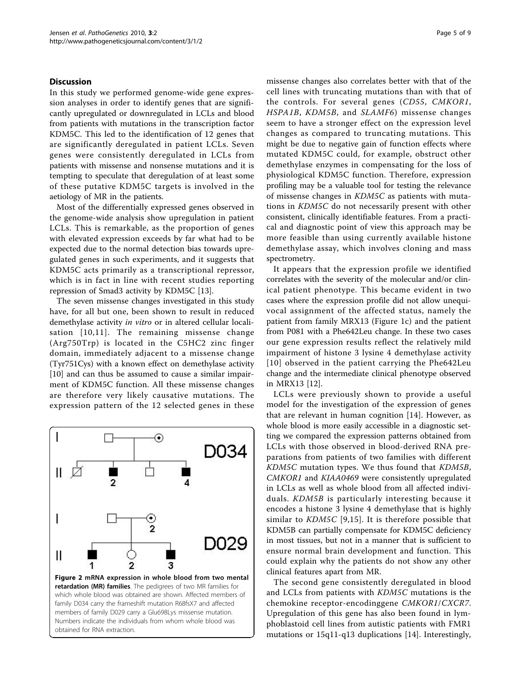#### **Discussion**

In this study we performed genome-wide gene expression analyses in order to identify genes that are significantly upregulated or downregulated in LCLs and blood from patients with mutations in the transcription factor KDM5C. This led to the identification of 12 genes that are significantly deregulated in patient LCLs. Seven genes were consistently deregulated in LCLs from patients with missense and nonsense mutations and it is tempting to speculate that deregulation of at least some of these putative KDM5C targets is involved in the aetiology of MR in the patients.

Most of the differentially expressed genes observed in the genome-wide analysis show upregulation in patient LCLs. This is remarkable, as the proportion of genes with elevated expression exceeds by far what had to be expected due to the normal detection bias towards upregulated genes in such experiments, and it suggests that KDM5C acts primarily as a transcriptional repressor, which is in fact in line with recent studies reporting repression of Smad3 activity by KDM5C [13].

The seven missense changes investigated in this study have, for all but one, been shown to result in reduced demethylase activity in vitro or in altered cellular localisation [10,11]. The remaining missense change (Arg750Trp) is located in the C5HC2 zinc finger domain, immediately adjacent to a missense change (Tyr751Cys) with a known effect on demethylase activity [10] and can thus be assumed to cause a similar impairment of KDM5C function. All these missense changes are therefore very likely causative mutations. The expression pattern of the 12 selected genes in these



missense changes also correlates better with that of the cell lines with truncating mutations than with that of the controls. For several genes (CD55, CMKOR1, HSPA1B, KDM5B, and SLAMF6) missense changes seem to have a stronger effect on the expression level changes as compared to truncating mutations. This might be due to negative gain of function effects where mutated KDM5C could, for example, obstruct other demethylase enzymes in compensating for the loss of physiological KDM5C function. Therefore, expression profiling may be a valuable tool for testing the relevance of missense changes in KDM5C as patients with mutations in KDM5C do not necessarily present with other consistent, clinically identifiable features. From a practical and diagnostic point of view this approach may be more feasible than using currently available histone demethylase assay, which involves cloning and mass spectrometry.

It appears that the expression profile we identified correlates with the severity of the molecular and/or clinical patient phenotype. This became evident in two cases where the expression profile did not allow unequivocal assignment of the affected status, namely the patient from family MRX13 (Figure 1c) and the patient from P081 with a Phe642Leu change. In these two cases our gene expression results reflect the relatively mild impairment of histone 3 lysine 4 demethylase activity [10] observed in the patient carrying the Phe642Leu change and the intermediate clinical phenotype observed in MRX13 [12].

LCLs were previously shown to provide a useful model for the investigation of the expression of genes that are relevant in human cognition [14]. However, as whole blood is more easily accessible in a diagnostic setting we compared the expression patterns obtained from LCLs with those observed in blood-derived RNA preparations from patients of two families with different KDM5C mutation types. We thus found that KDM5B, CMKOR1 and KIAA0469 were consistently upregulated in LCLs as well as whole blood from all affected individuals. KDM5B is particularly interesting because it encodes a histone 3 lysine 4 demethylase that is highly similar to KDM5C [9,15]. It is therefore possible that KDM5B can partially compensate for KDM5C deficiency in most tissues, but not in a manner that is sufficient to ensure normal brain development and function. This could explain why the patients do not show any other clinical features apart from MR.

The second gene consistently deregulated in blood and LCLs from patients with KDM5C mutations is the chemokine receptor-encodinggene CMKOR1/CXCR7. Upregulation of this gene has also been found in lymphoblastoid cell lines from autistic patients with FMR1 mutations or 15q11-q13 duplications [14]. Interestingly,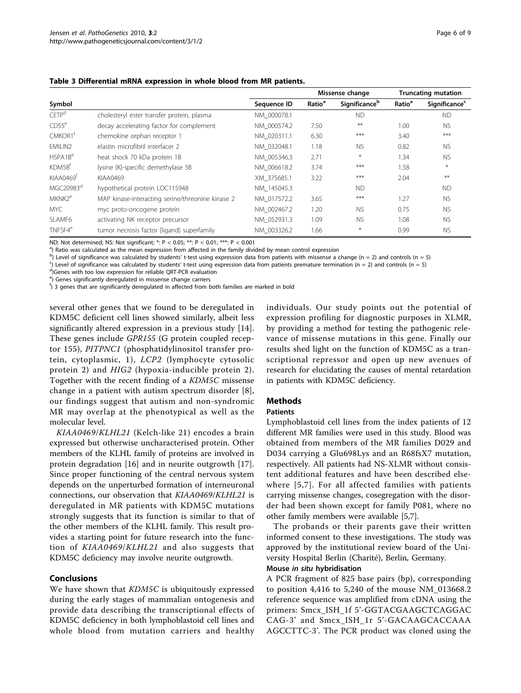|  |  | Table 3 Differential mRNA expression in whole blood from MR patients. |
|--|--|-----------------------------------------------------------------------|
|--|--|-----------------------------------------------------------------------|

|                       |                                                  |             | Missense change    |               | <b>Truncating mutation</b> |                                  |
|-----------------------|--------------------------------------------------|-------------|--------------------|---------------|----------------------------|----------------------------------|
| Symbol                |                                                  | Sequence ID | Ratio <sup>a</sup> | Significanceb | Ratio <sup>a</sup>         | <b>Significance</b> <sup>c</sup> |
| CFTP <sup>d</sup>     | cholesteryl ester transfer protein, plasma       | NM 000078.1 |                    | <b>ND</b>     |                            | <b>ND</b>                        |
| CDS5 <sup>e</sup>     | decay accelerating factor for complement         | NM 000574.2 | 7.50               | $***$         | 1.00                       | <b>NS</b>                        |
| CMKOR1 <sup>f</sup>   | chemokine orphan receptor 1                      | NM 020311.1 | 6.30               | ***           | 3.40                       | $***$                            |
| EMILIN2               | elastin microfibril interfacer 2                 | NM 032048.1 | 1.18               | <b>NS</b>     | 0.82                       | <b>NS</b>                        |
| HSPA1B <sup>e</sup>   | heat shock 70 kDa protein 1B                     | NM 005346.3 | 2.71               | $*$           | 1.34                       | <b>NS</b>                        |
| KDM5B <sup>t</sup>    | lysine (K)-specific demethylase 5B               | NM 006618.2 | 3.74               | ***           | 1.58                       | $\ast$                           |
| KIAA0469 <sup>t</sup> | KIAA0469                                         | XM 375685.1 | 3.22               | ***           | 2.04                       | $**$                             |
| MGC20983 <sup>d</sup> | hypothetical protein LOC115948                   | NM 145045.3 |                    | <b>ND</b>     |                            | <b>ND</b>                        |
| MKNK2 <sup>e</sup>    | MAP kinase-interacting serine/threonine kinase 2 | NM 017572.2 | 3.65               | ***           | 1.27                       | <b>NS</b>                        |
| MYC.                  | myc proto-oncogene protein                       | NM 002467.2 | 1.20               | <b>NS</b>     | 0.75                       | <b>NS</b>                        |
| SLAMF6                | activating NK receptor precursor                 | NM 052931.3 | 1.09               | <b>NS</b>     | 1.08                       | <b>NS</b>                        |
| TNFSF4 <sup>e</sup>   | tumor necrosis factor (ligand) superfamily       | NM 003326.2 | 1.66               | $\ast$        | 0.99                       | <b>NS</b>                        |

ND: Not determined; NS: Not significant; \*: P < 0.05; \*\*: P < 0.01; \*\*\*: P < 0.001

<sup>a</sup>) Ratio was calculated as the mean expression from affected in the family divided by mean control expression

b) Level of significance was calculated by students' t-test using expression data from patients with missense a change (n = 2) and controls (n = 5) controls (n = 5) controls (n = 5) controls (n = 5) controls (n = 5) contr

 $^{\circ}$ ) Level of significance was calculated by students' t-test using expression data from patients premature termination (n = 2) and controls (n = 5)

<sup>d</sup>)Genes with too low expression for reliable QRT-PCR evaluation

<sup>e</sup>) Genes significantly deregulated in missense change carriers

 $f$ ) 3 genes that are significantly deregulated in affected from both families are marked in bold

several other genes that we found to be deregulated in KDM5C deficient cell lines showed similarly, albeit less significantly altered expression in a previous study [14]. These genes include GPR155 (G protein coupled receptor 155), PITPNC1 (phosphatidylinositol transfer protein, cytoplasmic, 1), LCP2 (lymphocyte cytosolic protein 2) and HIG2 (hypoxia-inducible protein 2). Together with the recent finding of a KDM5C missense change in a patient with autism spectrum disorder [8], our findings suggest that autism and non-syndromic MR may overlap at the phenotypical as well as the molecular level.

KIAA0469/KLHL21 (Kelch-like 21) encodes a brain expressed but otherwise uncharacterised protein. Other members of the KLHL family of proteins are involved in protein degradation [16] and in neurite outgrowth [17]. Since proper functioning of the central nervous system depends on the unperturbed formation of interneuronal connections, our observation that KIAA0469/KLHL21 is deregulated in MR patients with KDM5C mutations strongly suggests that its function is similar to that of the other members of the KLHL family. This result provides a starting point for future research into the function of KIAA0469/KLHL21 and also suggests that KDM5C deficiency may involve neurite outgrowth.

#### Conclusions

We have shown that KDM5C is ubiquitously expressed during the early stages of mammalian ontogenesis and provide data describing the transcriptional effects of KDM5C deficiency in both lymphoblastoid cell lines and whole blood from mutation carriers and healthy

individuals. Our study points out the potential of expression profiling for diagnostic purposes in XLMR, by providing a method for testing the pathogenic relevance of missense mutations in this gene. Finally our results shed light on the function of KDM5C as a transcriptional repressor and open up new avenues of research for elucidating the causes of mental retardation in patients with KDM5C deficiency.

#### Methods

#### Patients

Lymphoblastoid cell lines from the index patients of 12 different MR families were used in this study. Blood was obtained from members of the MR families D029 and D034 carrying a Glu698Lys and an R68fsX7 mutation, respectively. All patients had NS-XLMR without consistent additional features and have been described elsewhere [5,7]. For all affected families with patients carrying missense changes, cosegregation with the disorder had been shown except for family P081, where no other family members were available [5,7].

The probands or their parents gave their written informed consent to these investigations. The study was approved by the institutional review board of the University Hospital Berlin (Charité), Berlin, Germany.

## Mouse in situ hybridisation

A PCR fragment of 825 base pairs (bp), corresponding to position 4,416 to 5,240 of the mouse NM\_013668.2 reference sequence was amplified from cDNA using the primers: Smcx\_ISH\_1f 5'-GGTACGAAGCTCAGGAC CAG-3' and Smcx\_ISH\_1r 5'-GACAAGCACCAAA AGCCTTC-3'. The PCR product was cloned using the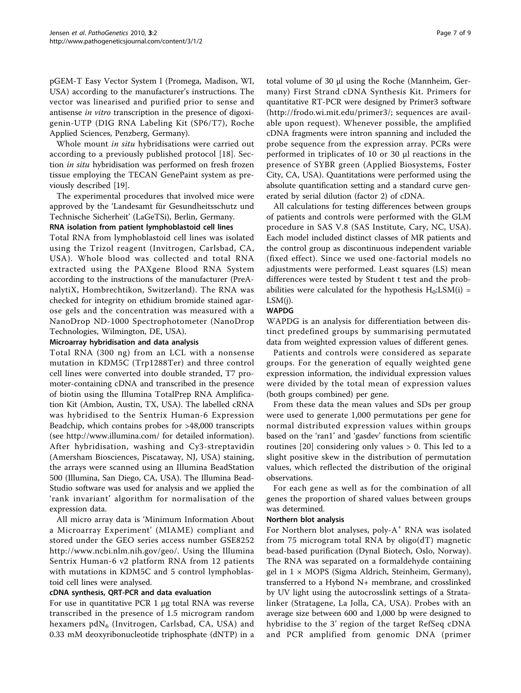pGEM-T Easy Vector System I (Promega, Madison, WI, USA) according to the manufacturer's instructions. The vector was linearised and purified prior to sense and antisense in vitro transcription in the presence of digoxigenin-UTP (DIG RNA Labeling Kit (SP6/T7), Roche Applied Sciences, Penzberg, Germany).

Whole mount in situ hybridisations were carried out according to a previously published protocol [18]. Section *in situ* hybridisation was performed on fresh frozen tissue employing the TECAN GenePaint system as previously described [19].

The experimental procedures that involved mice were approved by the 'Landesamt für Gesundheitsschutz und Technische Sicherheit' (LaGeTSi), Berlin, Germany.

## RNA isolation from patient lymphoblastoid cell lines

Total RNA from lymphoblastoid cell lines was isolated using the Trizol reagent (Invitrogen, Carlsbad, CA, USA). Whole blood was collected and total RNA extracted using the PAXgene Blood RNA System according to the instructions of the manufacturer (PreAnalytiX, Hombrechtikon, Switzerland). The RNA was checked for integrity on ethidium bromide stained agarose gels and the concentration was measured with a NanoDrop ND-1000 Spectrophotometer (NanoDrop Technologies, Wilmington, DE, USA).

#### Microarray hybridisation and data analysis

Total RNA (300 ng) from an LCL with a nonsense mutation in KDM5C (Trp1288Ter) and three control cell lines were converted into double stranded, T7 promoter-containing cDNA and transcribed in the presence of biotin using the Illumina TotalPrep RNA Amplification Kit (Ambion, Austin, TX, USA). The labelled cRNA was hybridised to the Sentrix Human-6 Expression Beadchip, which contains probes for >48,000 transcripts (see<http://www.illumina.com/> for detailed information). After hybridisation, washing and Cy3-streptavidin (Amersham Biosciences, Piscataway, NJ, USA) staining, the arrays were scanned using an Illumina BeadStation 500 (Illumina, San Diego, CA, USA). The Illumina Bead-Studio software was used for analysis and we applied the 'rank invariant' algorithm for normalisation of the expression data.

All micro array data is 'Minimum Information About a Microarray Experiment' (MIAME) compliant and stored under the GEO series access number GSE8252 [http://www.ncbi.nlm.nih.gov/geo/.](http://www.ncbi.nlm.nih.gov/geo/) Using the Illumina Sentrix Human-6 v2 platform RNA from 12 patients with mutations in KDM5C and 5 control lymphoblastoid cell lines were analysed.

## cDNA synthesis, QRT-PCR and data evaluation

For use in quantitative PCR 1 μg total RNA was reverse transcribed in the presence of 1.5 microgram random hexamers  $pdN_6$  (Invitrogen, Carlsbad, CA, USA) and 0.33 mM deoxyribonucleotide triphosphate (dNTP) in a total volume of 30 μl using the Roche (Mannheim, Germany) First Strand cDNA Synthesis Kit. Primers for quantitative RT-PCR were designed by Primer3 software ([http://frodo.wi.mit.edu/primer3/;](http://frodo.wi.mit.edu/primer3/) sequences are available upon request). Whenever possible, the amplified cDNA fragments were intron spanning and included the probe sequence from the expression array. PCRs were performed in triplicates of 10 or 30 μl reactions in the presence of SYBR green (Applied Biosystems, Foster City, CA, USA). Quantitations were performed using the absolute quantification setting and a standard curve generated by serial dilution (factor 2) of cDNA.

All calculations for testing differences between groups of patients and controls were performed with the GLM procedure in SAS V.8 (SAS Institute, Cary, NC, USA). Each model included distinct classes of MR patients and the control group as discontinuous independent variable (fixed effect). Since we used one-factorial models no adjustments were performed. Least squares (LS) mean differences were tested by Student t test and the probabilities were calculated for the hypothesis  $H_0:LSM(i) =$ LSM(j).

#### WAPDG

WAPDG is an analysis for differentiation between distinct predefined groups by summarising permutated data from weighted expression values of different genes.

Patients and controls were considered as separate groups. For the generation of equally weighted gene expression information, the individual expression values were divided by the total mean of expression values (both groups combined) per gene.

From these data the mean values and SDs per group were used to generate 1,000 permutations per gene for normal distributed expression values within groups based on the 'ran1' and 'gasdev' functions from scientific routines [20] considering only values > 0. This led to a slight positive skew in the distribution of permutation values, which reflected the distribution of the original observations.

For each gene as well as for the combination of all genes the proportion of shared values between groups was determined.

#### Northern blot analysis

For Northern blot analyses, poly- $A^+$  RNA was isolated from 75 microgram total RNA by oligo(dT) magnetic bead-based purification (Dynal Biotech, Oslo, Norway). The RNA was separated on a formaldehyde containing gel in 1 × MOPS (Sigma Aldrich, Steinheim, Germany), transferred to a Hybond N+ membrane, and crosslinked by UV light using the autocrosslink settings of a Stratalinker (Stratagene, La Jolla, CA, USA). Probes with an average size between 600 and 1,000 bp were designed to hybridise to the 3' region of the target RefSeq cDNA and PCR amplified from genomic DNA (primer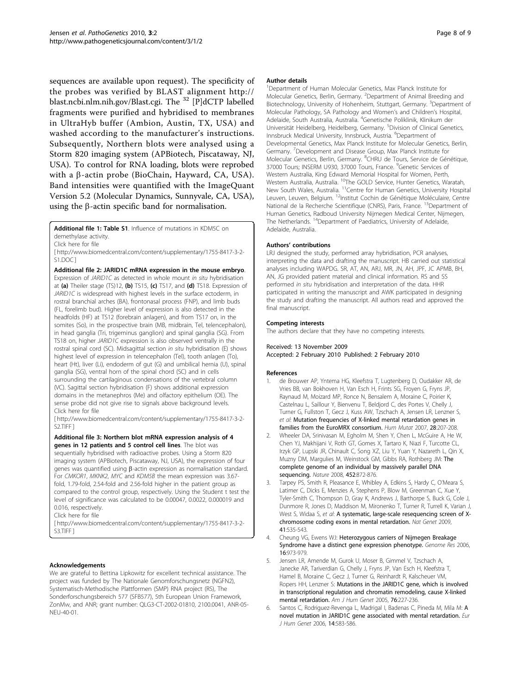sequences are available upon request). The specificity of the probes was verified by BLAST alignment [http://](http://blast.ncbi.nlm.nih.gov/Blast.cgi) [blast.ncbi.nlm.nih.gov/Blast.cgi.](http://blast.ncbi.nlm.nih.gov/Blast.cgi) The <sup>32</sup> [P]dCTP labelled fragments were purified and hybridised to membranes in UltraHyb buffer (Ambion, Austin, TX, USA) and washed according to the manufacturer's instructions. Subsequently, Northern blots were analysed using a Storm 820 imaging system (APBiotech, Piscataway, NJ, USA). To control for RNA loading, blots were reprobed with a  $\beta$ -actin probe (BioChain, Hayward, CA, USA). Band intensities were quantified with the ImageQuant Version 5.2 (Molecular Dynamics, Sunnyvale, CA, USA), using the  $\beta$ -actin specific band for normalisation.

Additional file 1: Table S1. Influence of mutations in KDM5C on

[ http://www.biomedcentral.com/content/supplementary/1755-8417-3-2- S1.DOC ]

Additional file 2: JARID1C mRNA expression in the mouse embryo. Expression of *JARID1C* as detected in whole mount *in situ* hybridisation at (a) Theiler stage (TS)12, (b) TS15, (c) TS17, and (d) TS18. Expression of JARID1C is widespread with highest levels in the surface ectoderm, in rostral branchial arches (BA), frontonasal process (FNP), and limb buds (FL, forelimb bud). Higher level of expression is also detected in the headfolds (HF) at TS12 (forebrain anlagen), and from TS17 on, in the somites (So), in the prospective brain (MB, midbrain, Tel, telencephalon), in head ganglia (Tri, trigeminus ganglion) and spinal ganglia (SG). From TS18 on, higher JARID1C expression is also observed ventrally in the rostral spinal cord (SC). Midsagittal section in situ hybridisation (E) shows highest level of expression in telencephalon (Tel), tooth anlagen (To), heart (Ht), liver (Li), endoderm of gut (G) and umbilical hernia (U), spinal ganglia (SG), ventral horn of the spinal chord (SC) and in cells surrounding the cartilaginous condensations of the vertebral column (VC). Sagittal section hybridisation (F) shows additional expression domains in the metanephros (Me) and olfactory epithelium (OE). The sense probe did not give rise to signals above background levels. Click here for file

[ http://www.biomedcentral.com/content/supplementary/1755-8417-3-2- S2.TIFF ]

Additional file 3: Northern blot mRNA expression analysis of 4 genes in 12 patients and 5 control cell lines. The blot was

sequentially hybridised with radioactive probes. Using a Storm 820 imaging system (APBiotech, Piscataway, NJ, USA), the expression of four genes was quantified using  $\beta$ -actin expression as normalisation standard. For CMKOR1, MKNK2, MYC and KDM5B the mean expression was 3.67 fold, 1.79-fold, 2.54-fold and 2.56-fold higher in the patient group as compared to the control group, respectively. Using the Student t test the level of significance was calculated to be 0.00047, 0.0022, 0.000019 and 0.016, respectively.

Click here for file

[ http://www.biomedcentral.com/content/supplementary/1755-8417-3-2- S3.TIFF ]

#### Acknowledgements

We are grateful to Bettina Lipkowitz for excellent technical assistance. The project was funded by The Nationale Genomforschungsnetz (NGFN2), Systematisch-Methodische Plattformen (SMP) RNA project (RS), The Sonderforschungsbereich 577 (SFB577), 5th European Union Framework, ZonMw, and ANR; grant number: QLG3-CT-2002-01810, 2100.0041, ANR-05- NEU-40-01.

#### Author details

<sup>1</sup>Department of Human Molecular Genetics, Max Planck Institute for Molecular Genetics, Berlin, Germany. <sup>2</sup>Department of Animal Breeding and Biotechnology, University of Hohenheim, Stuttgart, Germany. <sup>3</sup>Department of Molecular Pathology, SA Pathology and Women's and Children's Hospital, Adelaide, South Australia, Australia. <sup>4</sup>Genetische Poliklinik, Klinikum der Universität Heidelberg, Heidelberg, Germany. <sup>5</sup>Division of Clinical Genetics Innsbruck Medical University, Innsbruck, Austria. <sup>6</sup>Department of Developmental Genetics, Max Planck Institute for Molecular Genetics, Berlin, Germany. <sup>7</sup>Development and Disease Group, Max Planck Institute for Molecular Genetics, Berlin, Germany. <sup>8</sup>CHRU de Tours, Service de Génétique 37000 Tours; INSERM U930, 37000 Tours, France. <sup>9</sup>Genetic Services of Western Australia, King Edward Memorial Hospital for Women, Perth, Western Australia, Australia. <sup>10</sup>The GOLD Service, Hunter Genetics, Waratah, New South Wales, Australia. 11Centre for Human Genetics, University Hospital Leuven, Leuven, Belgium. <sup>12</sup>Institut Cochin de Génétique Moléculaire, Centre National de la Recherche Scientifique (CNRS), Paris, France. <sup>13</sup>Department of Human Genetics, Radboud University Nijmegen Medical Center, Nijmegen, The Netherlands. <sup>14</sup>Department of Paediatrics, University of Adelaide, Adelaide, Australia.

#### Authors' contributions

LRJ designed the study, performed array hybridisation, PCR analyses, interpreting the data and drafting the manuscript. HB carried out statistical analyses including WAPDG. SR, AT, AN, ARJ, MR, JN, AH, JPF, JC APMB, BH, AN, JG provided patient material and clinical information. RS and SS performed in situ hybridisation and interpretation of the data. HHR participated in writing the manuscript and AWK participated in designing the study and drafting the manuscript. All authors read and approved the final manuscript.

#### Competing interests

Received: 13 November 2009

The authors declare that they have no competing interests.

# Accepted: 2 February 2010 Published: 2 February 2010

#### References

- 1. de Brouwer AP, Yntema HG, Kleefstra T, Lugtenberg D, Oudakker AR, de Vries BB, van Bokhoven H, Van Esch H, Frints SG, Froyen G, Fryns JP, Raynaud M, Moizard MP, Ronce N, Bensalem A, Moraine C, Poirier K, Castelnau L, Saillour Y, Bienvenu T, Beldjord C, des Portes V, Chelly J, Turner G, Fullston T, Gecz J, Kuss AW, Tzschach A, Jensen LR, Lenzner S, et al: [Mutation frequencies of X-linked mental retardation genes in](http://www.ncbi.nlm.nih.gov/pubmed/17221867?dopt=Abstract) [families from the EuroMRX consortium.](http://www.ncbi.nlm.nih.gov/pubmed/17221867?dopt=Abstract) Hum Mutat 2007, 28:207-208.
- 2. Wheeler DA, Srinivasan M, Egholm M, Shen Y, Chen L, McGuire A, He W, Chen YJ, Makhijani V, Roth GT, Gomes X, Tartaro K, Niazi F, Turcotte CL, Irzyk GP, Lupski JR, Chinault C, Song XZ, Liu Y, Yuan Y, Nazareth L, Qin X, Muzny DM, Margulies M, Weinstock GM, Gibbs RA, Rothberg JM: [The](http://www.ncbi.nlm.nih.gov/pubmed/18421352?dopt=Abstract) [complete genome of an individual by massively parallel DNA](http://www.ncbi.nlm.nih.gov/pubmed/18421352?dopt=Abstract) [sequencing.](http://www.ncbi.nlm.nih.gov/pubmed/18421352?dopt=Abstract) Nature 2008, 452:872-876.
- Tarpey PS, Smith R, Pleasance E, Whibley A, Edkins S, Hardy C, O'Meara S, Latimer C, Dicks E, Menzies A, Stephens P, Blow M, Greenman C, Xue Y, Tyler-Smith C, Thompson D, Gray K, Andrews J, Barthorpe S, Buck G, Cole J, Dunmore R, Jones D, Maddison M, Mironenko T, Turner R, Turrell K, Varian J, West S, Widaa S, et al: [A systematic, large-scale resequencing screen of X](http://www.ncbi.nlm.nih.gov/pubmed/19377476?dopt=Abstract)[chromosome coding exons in mental retardation.](http://www.ncbi.nlm.nih.gov/pubmed/19377476?dopt=Abstract) Nat Genet 2009, 41:535-543.
- 4. Cheung VG, Ewens WJ: [Heterozygous carriers of Nijmegen Breakage](http://www.ncbi.nlm.nih.gov/pubmed/16809669?dopt=Abstract) [Syndrome have a distinct gene expression phenotype.](http://www.ncbi.nlm.nih.gov/pubmed/16809669?dopt=Abstract) Genome Res 2006, 16:973-979.
- Jensen LR, Amende M, Gurok U, Moser B, Gimmel V, Tzschach A, Janecke AR, Tariverdian G, Chelly J, Fryns JP, Van Esch H, Kleefstra T, Hamel B, Moraine C, Gecz J, Turner G, Reinhardt R, Kalscheuer VM, Ropers HH, Lenzner S: [Mutations in the JARID1C gene, which is involved](http://www.ncbi.nlm.nih.gov/pubmed/15586325?dopt=Abstract) [in transcriptional regulation and chromatin remodeling, cause X-linked](http://www.ncbi.nlm.nih.gov/pubmed/15586325?dopt=Abstract) [mental retardation.](http://www.ncbi.nlm.nih.gov/pubmed/15586325?dopt=Abstract) Am J Hum Genet 2005, 76:227-236.
- 6. Santos C, Rodriguez-Revenga L, Madrigal I, Badenas C, Pineda M, Mila M: [A](http://www.ncbi.nlm.nih.gov/pubmed/16538222?dopt=Abstract) [novel mutation in JARID1C gene associated with mental retardation.](http://www.ncbi.nlm.nih.gov/pubmed/16538222?dopt=Abstract) Eur J Hum Genet 2006, 14:583-586.

demethylase activity.

Click here for file